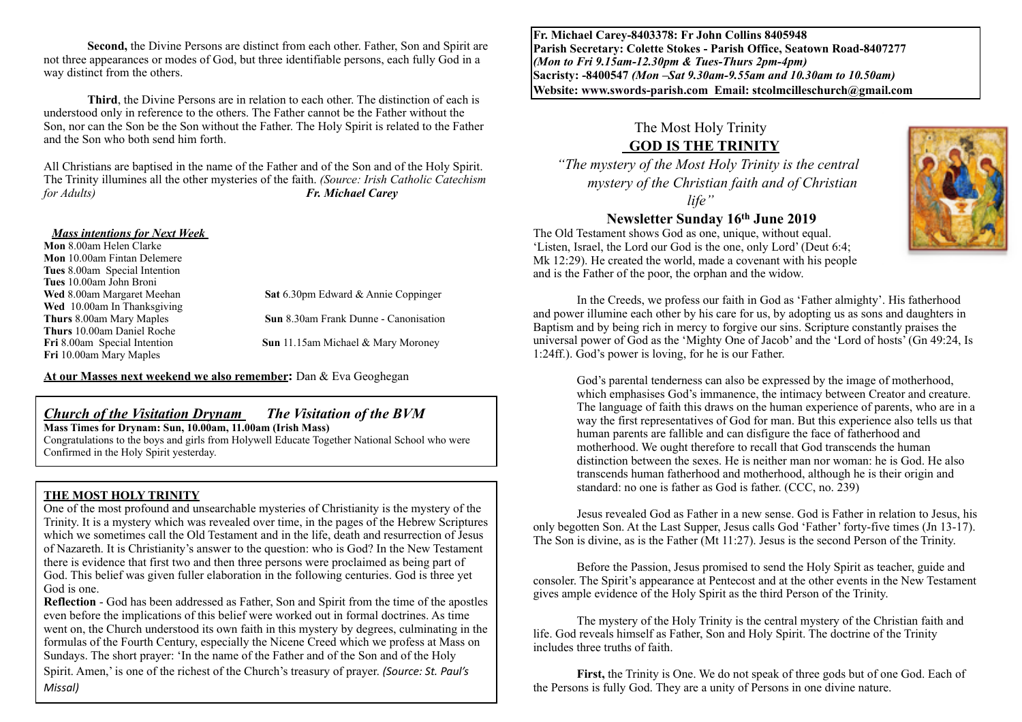**Second,** the Divine Persons are distinct from each other. Father, Son and Spirit are not three appearances or modes of God, but three identifiable persons, each fully God in a way distinct from the others.

**Third**, the Divine Persons are in relation to each other. The distinction of each is understood only in reference to the others. The Father cannot be the Father without the Son, nor can the Son be the Son without the Father. The Holy Spirit is related to the Father and the Son who both send him forth.

All Christians are baptised in the name of the Father and of the Son and of the Holy Spirit. The Trinity illumines all the other mysteries of the faith. *(Source: Irish Catholic Catechism for Adults) Fr. Michael Carey* 

#### *Mass intentions for Next Week*

**Mon** 8.00am Helen Clarke **Mon** 10.00am Fintan Delemere **Tues** 8.00am Special Intention **Tues** 10.00am John Broni **Wed** 8.00am Margaret Meehan **Sat** 6.30pm Edward & Annie Coppinger **Wed** 10.00am In Thanksgiving **Thurs** 8.00am Mary Maples **Sun** 8.30am Frank Dunne - Canonisation **Thurs** 10.00am Daniel Roche **Sun** 11.15am Michael & Mary Moroney **Fri** 10.00am Mary Maples

**At our Masses next weekend we also remember:** Dan & Eva Geoghegan

## *Church of the Visitation Drynam**The Visitation of the BVM*

### **Mass Times for Drynam: Sun, 10.00am, 11.00am (Irish Mass)**

Congratulations to the boys and girls from Holywell Educate Together National School who were Confirmed in the Holy Spirit yesterday.

### **THE MOST HOLY TRINITY**

One of the most profound and unsearchable mysteries of Christianity is the mystery of the Trinity. It is a mystery which was revealed over time, in the pages of the Hebrew Scriptures which we sometimes call the Old Testament and in the life, death and resurrection of Jesus of Nazareth. It is Christianity's answer to the question: who is God? In the New Testament there is evidence that first two and then three persons were proclaimed as being part of God. This belief was given fuller elaboration in the following centuries. God is three yet God is one.

**Reflection** - God has been addressed as Father, Son and Spirit from the time of the apostles even before the implications of this belief were worked out in formal doctrines. As time went on, the Church understood its own faith in this mystery by degrees, culminating in the formulas of the Fourth Century, especially the Nicene Creed which we profess at Mass on Sundays. The short prayer: 'In the name of the Father and of the Son and of the Holy

Spirit. Amen,' is one of the richest of the Church's treasury of prayer. *(Source: St. Paul's Missal)*

**Fr. Michael Carey-8403378: Fr John Collins 8405948 Parish Secretary: Colette Stokes - Parish Office, Seatown Road-8407277**  *(Mon to Fri 9.15am-12.30pm & Tues-Thurs 2pm-4pm)*  **Sacristy: -8400547** *(Mon –Sat 9.30am-9.55am and 10.30am to 10.50am)* **Website: [www.swords-parish.com Email:](http://www.swords-parish.com%20%20email) stcolmcilleschurch@gmail.com**

# The Most Holy Trinity  **GOD IS THE TRINITY**

*"The mystery of the Most Holy Trinity is the central mystery of the Christian faith and of Christian life"* 

## **Newsletter Sunday 16th June 2019**

The Old Testament shows God as one, unique, without equal. 'Listen, Israel, the Lord our God is the one, only Lord' (Deut 6:4; Mk 12:29). He created the world, made a covenant with his people and is the Father of the poor, the orphan and the widow.

In the Creeds, we profess our faith in God as 'Father almighty'. His fatherhood and power illumine each other by his care for us, by adopting us as sons and daughters in Baptism and by being rich in mercy to forgive our sins. Scripture constantly praises the universal power of God as the 'Mighty One of Jacob' and the 'Lord of hosts' (Gn 49:24, Is 1:24ff.). God's power is loving, for he is our Father.

God's parental tenderness can also be expressed by the image of motherhood, which emphasises God's immanence, the intimacy between Creator and creature. The language of faith this draws on the human experience of parents, who are in a way the first representatives of God for man. But this experience also tells us that human parents are fallible and can disfigure the face of fatherhood and motherhood. We ought therefore to recall that God transcends the human distinction between the sexes. He is neither man nor woman: he is God. He also transcends human fatherhood and motherhood, although he is their origin and standard: no one is father as God is father. (CCC, no. 239)

Jesus revealed God as Father in a new sense. God is Father in relation to Jesus, his only begotten Son. At the Last Supper, Jesus calls God 'Father' forty-five times (Jn 13-17). The Son is divine, as is the Father (Mt 11:27). Jesus is the second Person of the Trinity.

Before the Passion, Jesus promised to send the Holy Spirit as teacher, guide and consoler. The Spirit's appearance at Pentecost and at the other events in the New Testament gives ample evidence of the Holy Spirit as the third Person of the Trinity.

The mystery of the Holy Trinity is the central mystery of the Christian faith and life. God reveals himself as Father, Son and Holy Spirit. The doctrine of the Trinity includes three truths of faith.

**First,** the Trinity is One. We do not speak of three gods but of one God. Each of the Persons is fully God. They are a unity of Persons in one divine nature.